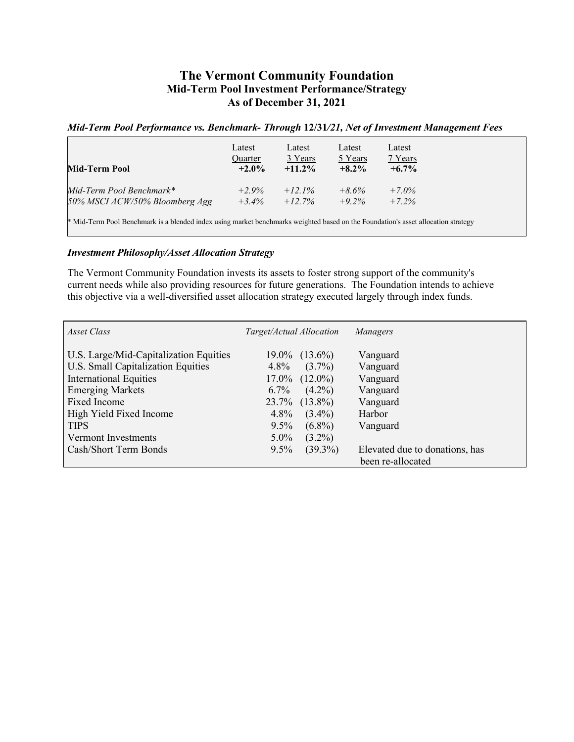## **The Vermont Community Foundation Mid-Term Pool Investment Performance/Strategy As of December 31, 2021**

## *Mid-Term Pool Performance vs. Benchmark- Through* **12/31***/21, Net of Investment Management Fees*

| Mid-Term Pool                                                                                                                     | Latest<br>Quarter<br>$+2.0\%$ | Latest<br>3 Years<br>$+11.2\%$ | Latest<br>5 Years<br>$+8.2\%$ | Latest<br>7 Years<br>$+6.7\%$ |  |  |
|-----------------------------------------------------------------------------------------------------------------------------------|-------------------------------|--------------------------------|-------------------------------|-------------------------------|--|--|
| Mid-Term Pool Benchmark*                                                                                                          | $+2.9%$                       | $+12.1\%$                      | $+8.6\%$                      | $+7.0\%$                      |  |  |
| 50% MSCI ACW/50% Bloomberg Agg                                                                                                    | $+3.4\%$                      | $+12.7\%$                      | $+9.2\%$                      | $+7.2%$                       |  |  |
| * Mid-Term Pool Benchmark is a blended index using market benchmarks weighted based on the Foundation's asset allocation strategy |                               |                                |                               |                               |  |  |

## *Investment Philosophy/Asset Allocation Strategy*

The Vermont Community Foundation invests its assets to foster strong support of the community's current needs while also providing resources for future generations. The Foundation intends to achieve this objective via a well-diversified asset allocation strategy executed largely through index funds.

| Asset Class                                                                                                                                                                                                                                               | Target/Actual Allocation                                                                                                                                                                                     | Managers                                                                                                         |
|-----------------------------------------------------------------------------------------------------------------------------------------------------------------------------------------------------------------------------------------------------------|--------------------------------------------------------------------------------------------------------------------------------------------------------------------------------------------------------------|------------------------------------------------------------------------------------------------------------------|
| U.S. Large/Mid-Capitalization Equities<br>U.S. Small Capitalization Equities<br><b>International Equities</b><br><b>Emerging Markets</b><br><b>Fixed Income</b><br>High Yield Fixed Income<br><b>TIPS</b><br>Vermont Investments<br>Cash/Short Term Bonds | $19.0\%$ $(13.6\%)$<br>$(3.7\%)$<br>$4.8\%$<br>$17.0\%$ $(12.0\%)$<br>$(4.2\%)$<br>$6.7\%$<br>23.7% (13.8%)<br>$4.8\%$<br>$(3.4\%)$<br>$(6.8\%)$<br>$9.5\%$<br>$(3.2\%)$<br>$5.0\%$<br>$(39.3\%)$<br>$9.5\%$ | Vanguard<br>Vanguard<br>Vanguard<br>Vanguard<br>Vanguard<br>Harbor<br>Vanguard<br>Elevated due to donations, has |
|                                                                                                                                                                                                                                                           |                                                                                                                                                                                                              | been re-allocated                                                                                                |